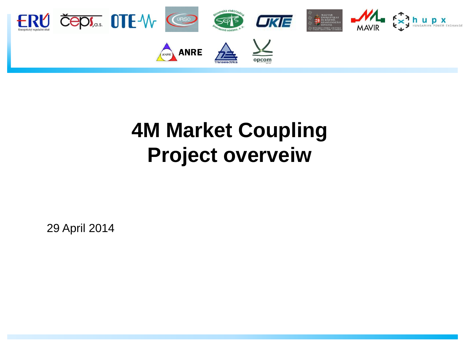

#### **4M Market Coupling Project overveiw**

29 April 2014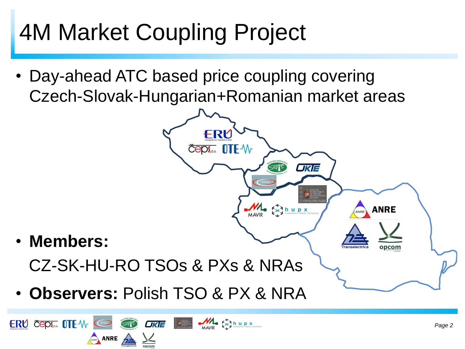# 4M Market Coupling Project

ERU ČEPI TEW C<sup>RO</sup> ST. UKE

ANRE A

• Day-ahead ATC based price coupling covering Czech-Slovak-Hungarian+Romanian market areas



MAVIR END N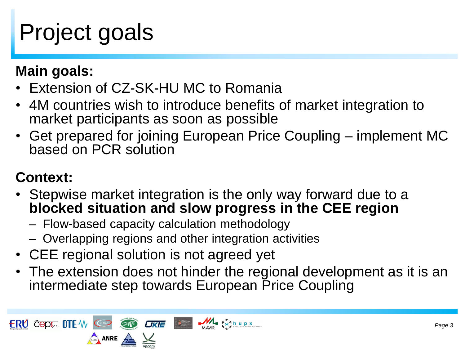# Project goals

**Main goals:**

- Extension of CZ-SK-HU MC to Romania
- 4M countries wish to introduce benefits of market integration to market participants as soon as possible
- Get prepared for joining European Price Coupling implement MC based on PCR solution

#### **Context:**

- Stepwise market integration is the only way forward due to a **blocked situation and slow progress in the CEE region**
	- Flow-based capacity calculation methodology
	- Overlapping regions and other integration activities
- CEE regional solution is not agreed yet
- The extension does not hinder the regional development as it is an intermediate step towards European Price Coupling

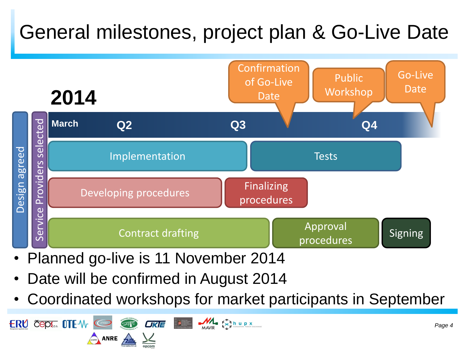#### General milestones, project plan & Go-Live Date



- Planned go-live is 11 November 2014
- Date will be confirmed in August 2014
- Coordinated workshops for market participants in September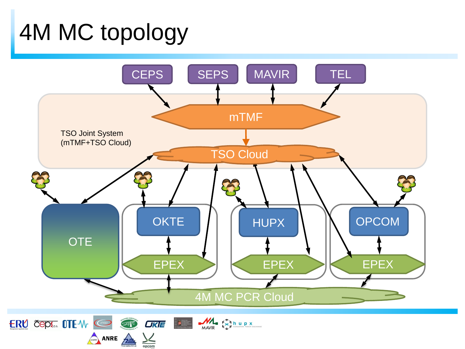## 4M MC topology

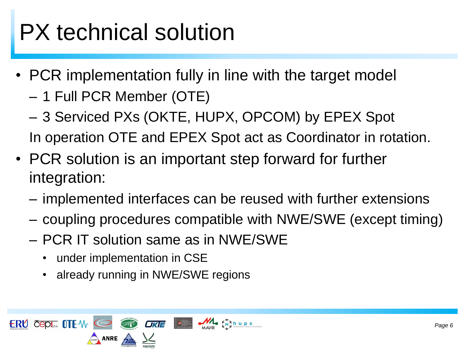# PX technical solution

- PCR implementation fully in line with the target model
	- 1 Full PCR Member (OTE)
	- 3 Serviced PXs (OKTE, HUPX, OPCOM) by EPEX Spot In operation OTE and EPEX Spot act as Coordinator in rotation.
- PCR solution is an important step forward for further integration:
	- implemented interfaces can be reused with further extensions
	- coupling procedures compatible with NWE/SWE (except timing)
	- PCR IT solution same as in NWE/SWE
		- under implementation in CSE
		- already running in NWE/SWE regions

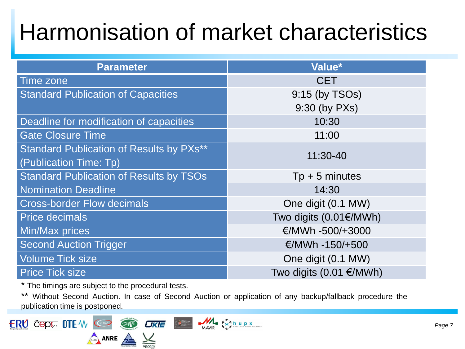## Harmonisation of market characteristics

| <b>Parameter</b>                                | Value*                           |  |
|-------------------------------------------------|----------------------------------|--|
| Time zone                                       | <b>CET</b>                       |  |
| <b>Standard Publication of Capacities</b>       | 9:15 (by TSOs)                   |  |
|                                                 | 9:30 (by PXs)                    |  |
| Deadline for modification of capacities         | 10:30                            |  |
| <b>Gate Closure Time</b>                        | 11:00                            |  |
| <b>Standard Publication of Results by PXs**</b> | 11:30-40                         |  |
| (Publication Time: Tp)                          |                                  |  |
| <b>Standard Publication of Results by TSOs</b>  | $Tp + 5$ minutes                 |  |
| <b>Nomination Deadline</b>                      | 14:30                            |  |
| <b>Cross-border Flow decimals</b>               | One digit (0.1 MW)               |  |
| <b>Price decimals</b>                           | Two digits $(0.01 \text{E/MWh})$ |  |
| <b>Min/Max prices</b>                           | €/MWh -500/+3000                 |  |
| <b>Second Auction Trigger</b>                   | €/MWh -150/+500                  |  |
| <b>Volume Tick size</b>                         | One digit (0.1 MW)               |  |
| <b>Price Tick size</b>                          | Two digits $(0.01)$ €/MWh)       |  |

\* The timings are subject to the procedural tests.

\*\* Without Second Auction. In case of Second Auction or application of any backup/fallback procedure the publication time is postponed.

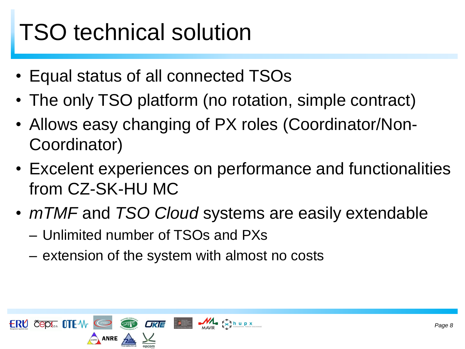# TSO technical solution

- Equal status of all connected TSOs
- The only TSO platform (no rotation, simple contract)
- Allows easy changing of PX roles (Coordinator/Non-Coordinator)
- Excelent experiences on performance and functionalities from CZ-SK-HU MC
- *mTMF* and *TSO Cloud* systems are easily extendable
	- Unlimited number of TSOs and PXs
	- extension of the system with almost no costs

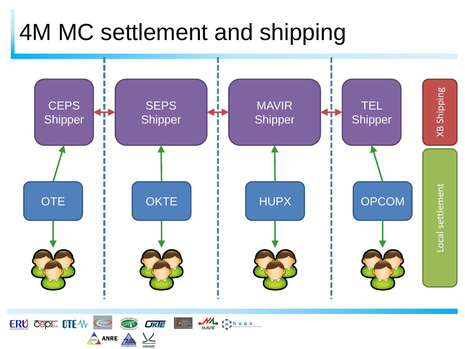## 4M MC settlement and shipping



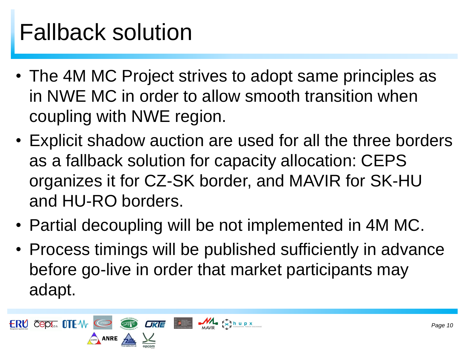# Fallback solution

- The 4M MC Project strives to adopt same principles as in NWE MC in order to allow smooth transition when coupling with NWE region.
- Explicit shadow auction are used for all the three borders as a fallback solution for capacity allocation: CEPS organizes it for CZ-SK border, and MAVIR for SK-HU and HU-RO borders.
- Partial decoupling will be not implemented in 4M MC.
- Process timings will be published sufficiently in advance before go-live in order that market participants may adapt.

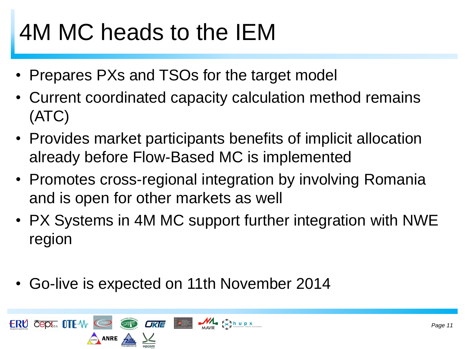# 4M MC heads to the IEM

- Prepares PXs and TSOs for the target model
- Current coordinated capacity calculation method remains (ATC)
- Provides market participants benefits of implicit allocation already before Flow-Based MC is implemented
- Promotes cross-regional integration by involving Romania and is open for other markets as well
- PX Systems in 4M MC support further integration with NWE region
- Go-live is expected on 11th November 2014